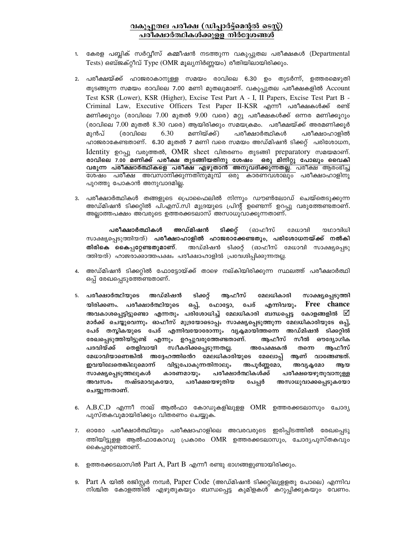## വകുപ്പുതല പരീക്ഷ (ഡിപ്പാർട്ട്മെന്റൽ ടെസ്റ്റ്) പരീക്ഷാർത്ഥികൾക്കുളള നിർദ്ദേശങ്ങൾ

- 1. കേരള പബ്ലിക് സർവ്വീസ് കമ്മീഷൻ നടത്തുന്ന വകുപ്പുതല പരീക്ഷകൾ (Departmental Tests) ഒബ്ജക്റ്റീവ് Type (OMR മൂല്യനിർണ്ണയം) രീതിയിലായിരിക്കും.
- 2. പരീക്ഷയ്ക്ക് ഹാജരാകാനുള്ള സമയം രാവിലെ 6.30 ഉം തുടർന്ന്, ഉത്തരമെഴുതി തുടങ്ങുന്ന സമയം രാവിലെ 7.00 മണി മുതലുമാണ്. വകുപ്പുതല പരീക്ഷകളിൽ Account Test KSR (Lower), KSR (Higher), Excise Test Part A - I, II Papers, Excise Test Part B -Criminal Law, Executive Officers Test Paper II-KSR എന്നീ പരീക്ഷകൾക്ക് രണ്ട് മണിക്കൂറും (രാവിലെ 7.00 മുതൽ 9.00 വരെ) മറ്റു പരീക്ഷകൾക്ക് ഒന്നര മണിക്കൂറും (രാവിലെ 7.00 മുതൽ 8.30 വരെ) ആയിരിക്കും സമയക്രമം. പരീക്ഷയ്ക്ക് അരമണിക്കൂർ 6.30 മുൻപ് (രാവിലെ മണിയ്ക്ക്) പരീക്ഷാർത്ഥികൾ പരീക്ഷാഹാളിൽ ഹാജരാകേണ്ടതാണ്. 6.30 മുതൽ 7 മണി വരെ സമയം അഡ്മിഷൻ ടിക്കറ്റ് പരിശോധന, Identity ഉറപ്പു വരുത്തൽ, OMR sheet വിതരണം തുടങ്ങി preparatory സമയമാണ്. രാവിലെ 7.00 മണിക്ക് പരീക്ഷ തുടങ്ങിയതിനു ശേഷം ഒരു മിനിറ്റു പോലും വൈകി വരുന്ന പരീക്ഷാർത്ഥികളെ പരീക്ഷ എഴുതാൻ അനുവദിക്കുന്നതല്ല. പരീക്ഷ ആരംഭിച്ച ശേഷം പരീക്ഷ അവസാനിക്കുന്നതിനുമുമ്പ് ഒരു കാരണവശാലും പരീക്ഷാഹാളിനു പുറത്തു പോകാൻ അനുവാദമില്ല.
- 3. പരീക്ഷാർത്ഥികൾ തങ്ങളുടെ പ്രൊഫൈലിൽ നിന്നും ഡൗൺലോഡ് ചെയ്തെടുക്കുന്ന അഡ്മിഷൻ ടിക്കറ്റിൽ പി.എസ്.സി മുദ്രയുടെ പ്രിന്റ് ഉണ്ടെന്ന് ഉറപ്പു വരുത്തേണ്ടതാണ്. അല്ലാത്തപക്ഷം അവരുടെ ഉത്തരക്കടലാസ് അസാധുവാക്കുന്നതാണ്.

പരീക്ഷാർത്ഥികൾ അഡ്മിഷൻ ടിക്കറ്റ് (ഓഫീസ് മേധാവി യഥാവിധി സാക്ഷ്യപ്പെടുത്തിയത്) **പരീക്ഷാഹാളിൽ ഹാജരാക്കേണ്ടതും, പരിശോധനയ്ക്ക് നൽകി** അഡ്മിഷൻ ടിക്കറ്റ് (ഓഫീസ് മേധാവി സാക്ഷ്യപ്പെടു തിരികെ കൈപ്പറ്റേണ്ടതുമാണ്. ത്തിയത്) ഹാജരാക്കാത്തപക്ഷം പരീക്ഷാഹാളിൽ പ്രവേശിപ്പിക്കുന്നതല്ല.

- 4. അഡ്മിഷൻ ടിക്കറ്റിൽ ഫോട്ടോയ്ക്ക് താഴെ നല്കിയിരിക്കുന്ന സ്ഥലത്ത് പരീക്ഷാർത്ഥി ഒപ്പ് രേഖപ്പെടുത്തേണ്ടതാണ്.
- മേലധികാരി 5. പരീക്ഷാർത്ഥിയുടെ അഡ്മിഷൻ ടിക്കറ്റ് ആഫീസ് സാക്ഷ്യപ്പെടുത്തി യിരിക്കണം. പരീക്ഷാർത്ഥിയുടെ ഒപ്പ്, എന്നിവയും Free chance ഫോട്ടോ, പേര് അവകാശപ്പെട്ടിട്ടുണ്ടൊ എന്നതും പരിശോധിച്ച് മേലധികാരി ബന്ധപ്പെട്ട കോളങ്ങളിൽ  $\boxdot$ മാർക്ക് ചെയ്യുവെന്നും ഓഫീസ് മുദ്രയോടൊപ്പം സാക്ഷ്യപ്പെടുത്തുന്ന മേലധികാരിയുടേ ഒപ്പ്, പേര് തന്ലികയുടെ പേര് എന്നിവയോരോന്നും വ്യക്ലമായിത്തന്നെ അഡ്മിഷൻ ടിക്കറ്റിൽ രേഖപ്പെടുത്തിയിട്ടുണ്ട് എന്നും ഉറപ്പുവരുത്തേണ്ടതാണ്. ആഫീസ് സീൽ ഔദ്യോഗിക പദവിയ്ക്ക് തെളിവായി സ്വീകരിക്കപ്പെടുന്നതല്ല. അപേക്ഷകൻ തന്നെ ആഫീസ് മേധാവിയാണെങ്കിൽ അദ്ദേഹത്തിൻെ മേലധികാരിയുടെ മേലൊപ്പ് ആണ് വാങ്ങേണ്ടത്. ഇവയിലേതെങ്കിലുമൊന്ന് വിട്ടുപോകുന്നതിനാലും അപൂർണ്ണമോ, അവ്യക്ലമോ ആയ സാക്ഷ്യപ്പെടുത്തലുകൾ കാരണമായും പരീക്ഷാർത്ഥികൾക്ക് പരീക്ഷയെഴുതുവാനുള്ള പേപ്പർ അസാധുവാക്കപ്പെടുകയോ അവസരം നഷ്ടമാവുകയോ, പരീക്ഷയെഴുതിയ ചെയ്യുന്നതാണ്.
- 6.  $A, B, C, D$  എന്നീ നാല് ആൽഫാ കോഡുകളിലുള്ള OMR ഉത്തരക്കടലാസും ചോദ്യ പുസ്തകവുമായിരിക്കും വിതരണം ചെയ്യുക.
- 7. ഓരോ പരീക്ഷാർത്ഥിയും പരീക്ഷാഹാളിലെ അവരവരുടെ ഇരിപ്പിടത്തിൽ രേഖപ്പെടു ത്തിയിട്ടുള്ള ആൽഫാകോഡു പ്രകാരം OMR ഉത്തരക്കടലാസും, ചോദൃപുസ്തകവും കൈപ്പറ്റേണ്ടതാണ്.
- 8. ഉത്തരക്കടലാസിൽ Part A, Part B എന്നീ രണ്ടു ഭാഗങ്ങളുണ്ടായിരിക്കും.
- 9. Part A യിൽ രജിസ്റ്റർ നമ്പർ, Paper Code (അഡ്മിഷൻ ടിക്കറ്റിലുളളതു പോലെ) എന്നിവ നിശ്ചിത കോളത്തിൽ എഴുതുകയും ബന്ധപ്പെട്ട കുമിളകൾ കറുപ്പിക്കുകയും വേണം.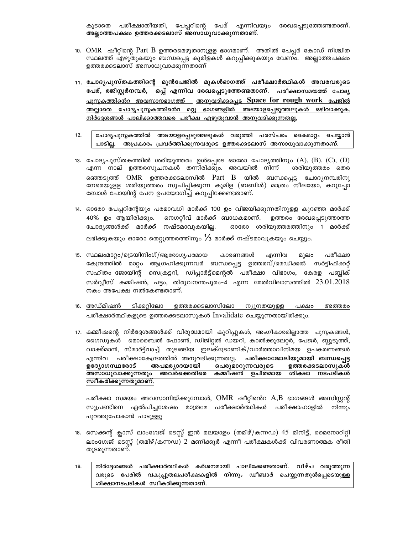പേപ്പറിന്റെ പേര് എന്നിവയും രേഖപ്പെടുത്തേണ്ടതാണ്. പരീക്ഷാതീയതി, കൂടാതെ അല്ലാത്തപക്ഷം ഉത്തരക്കടലാസ് അസാധുവാക്കുന്നതാണ്.

- 10. OMR ഷീറ്റിന്റെ Part B ഉത്തരമെഴുതാനുളള ഭാഗമാണ്. അതിൽ പേപ്പർ കോഡ് നിശ്ചിത സ്ഥലത്ത് എഴുതുകയും ബന്ധപ്പെട്ട കുമിളകൾ കറുപ്പിക്കുകയും വേണം. അല്ലാത്തപക്ഷം ഉത്തരക്കടലാസ് അസാധുവാക്കുന്നതാണ്
- 11. ചോദ്യപുസ്തകത്തിന്റെ മുൻപേജിൽ മുകൾഭാഗത്ത് പരീക്ഷാർത്ഥികൾ അവരവരുടെ പേര്, രജിസ്റ്റർനമ്പർ, ഒപ്പ് എന്നിവ രേഖപ്പെടുത്തേണ്ടതാണ്. പരീക്ഷാസമയത്ത് ചോദ്യ <u>പുസ്തകത്തിൻെ അവസാനഭാഗത്ത് അനുവദിക്കപ്പെട്ട Space for rough work പേജിൽ </u> <u>അല്ലാതെ ചോദൃപൂസ്ലകത്തിൻെറ മറ്റു ഭാഗങ്ങളിൽ അടയാളപ്പെടുത്തലുകൾ ഒഴിവാക്കുക.</u> <u>നിർദ്ദേശങ്ങൾ പാലിക്കാത്തവരെ പരീക്ഷ എഴുതുവാൻ അനുവദിക്കുന്നതല്ല.</u>
- ചോദ്യപുസ്തകത്തിൽ അടയാളപ്പെടുത്തലുകൾ വരുത്തി പരസ്പരം കൈമാറ്റം ചെയ്യാൻ  $12.$ പാടില്ല. അപ്രകാരം പ്രവർത്തിക്കുന്നവരുടെ ഉത്തരക്കടലാസ് അസാധുവാക്കുന്നതാണ്.
- 13. ചോദ്യപുസ്തകത്തിൽ ശരിയുത്തരം ഉൾപ്പെടെ ഓരോ ചോദ്യത്തിനും  $(A)$ ,  $(B)$ ,  $(C)$ ,  $(D)$ എന്ന നാല് ഉത്തരസൂചനകൾ തന്നിരിക്കും. അവയിൽ നിന്ന് ശരിയുത്തരം തെര ഞ്ഞെടുത്ത് OMR ഉത്തരക്കടലാസിൽ Part B യിൽ ബന്ധപ്പെട്ട ചോദൃനമ്പരിനു നേരെയുളള ശരിയുത്തരം സൂചിപ്പിക്കുന്ന കുമിള (ബബിൾ) മാത്രം നീലയോ, കറുപ്പോ ബോൾ പോയിന്റ് പേന ഉപയോഗിച്ച് കറുപ്പിക്കേണ്ടതാണ്.
- 14. ഓരോ പേപ്പറിന്റേയും പരമാവധി മാർക്ക് 100 ഉം വിജയിക്കുന്നതിനുളള കുറഞ്ഞ മാർക്ക് നെഗറ്റീവ് മാർക്ക് ബാധകമാണ്. ഉത്തരം രേഖപ്പെടുത്താത്ത 40% ഉം ആയിരിക്കും. ചോദ്യങ്ങൾക്ക് മാർക്ക് നഷ്ടമാവുകയില്ല. ഓരോ ശരിയുത്തരത്തിനും 1 മാർക്ക് ലഭിക്കുകയും ഓരോ തെറ്റുത്തരത്തിനും  $\%$  മാർക്ക് നഷ്ടമാവുകയും ചെയ്യും.
- 15. സ്ഥലംമാറ്റം/ട്രെയിനിംഗ്/ആരോഗ്യപരമായ കാരണങ്ങൾ എന്നിവ മൂലം പരീക്ഷാ കേന്ദ്രത്തിൽ മാറ്റം ആഗ്രഹിക്കുന്നവർ ബന്ധപ്പെട്ട ഉത്തരവ്/മെഡിക്കൽ സർട്ടിഫിക്കറ്റ് സഹിതം ജോയിന്റ് സെക്രട്ടറി, ഡിപ്പാർട്ട്മെന്റൽ പരീക്ഷാ വിഭാഗം, കേരള പബ്ലിക് സർവ്വീസ് കമ്മിഷൻ, പട്ടം, തിരുവനന്തപുരം–4 എന്ന മേൽവിലാസത്തിൽ  $23.01.2018$ നകം അപേക്ഷ നൽകേണ്ടതാണ്.
- 16. അഡ്മിഷൻ ടിക്കറ്റിലോ ഉത്തരക്കടലാസിലോ ന്യൂനതയുളള പക്ഷം അത്തരം പരീക്ഷാർത്ഥികളുടെ ഉത്തരക്കടലാസുകൾ Invalidate ചെയ്യുന്നതായിരിക്കും.
- 17. കമ്മീഷന്റെ നിർദ്ദേശങ്ങൾക്ക് വിരുദ്ധമായി കുറിപ്പുകൾ, അംഗീകാരമില്ലാത്ത പുസ്തകങ്ങൾ, ഗൈഡുകൾ മൊബൈൽ ഫോൺ, ഡിജിറ്റൽ ഡയറി, കാൽക്കുലേറ്റർ, പേജർ, ബ്ലൂടൂത്ത്, വാക്ക്മാൻ, സ്മാർട്ട്വാച്ച് തുടങ്ങിയ ഇലക്ട്രോണിക്/വാർത്താവിനിമയ ഉപകരണങ്ങൾ എന്നിവ പരീക്ഷാകേന്ദ്രത്തിൽ അനുവദിക്കുന്നതല്ല. **പരീക്ഷാജോലിയുമായി ബന്ധപ്പെട്ട** ഉദ്യോഗസ്ഥരോട് അപമര്യാദയായി പെരുമാറുന്നവരുടെ ഉത്തരക്കടലാസുകൾ സ്ഥീകരിക്കുന്നതുമാണ്.

പരീക്ഷാ സമയം അവസാനിയ്ക്കുമ്പോൾ,  $\rm{OMR}$  ഷീറ്റിൻെ  $\rm{A,B}$  ഭാഗങ്ങൾ അസിസ്റ്റന്റ് സൂപ്രണ്ടിനെ ഏൽപിച്ചശേഷം മാത്രമേ പരീക്ഷാർത്ഥികൾ പരീക്ഷാഹാളിൽ നിന്നും പുറത്തുപോകാൻ പാടുള്ളൂ

- 18. സെക്കന്റ് ക്ലാസ് ലാംഗ്വേജ് ടെസ്റ്റ് ഇൻ മലയാളം (തമിഴ്/കന്നഡ) 45 മിനിട്ട്, മൈനോറിറ്റി ലാംഗ്വേജ് ടെസ്റ്റ് (തമിഴ്/കന്നഡ) 2 മണിക്കൂർ എന്നീ പരീക്ഷകൾക്ക് വിവരണാത്മക രീതി തുടരുന്നതാണ്.
- നിർദ്ദേശങ്ങൾ പരീക്ഷാർത്ഥികൾ കർശനമായി പാലിക്കേണ്ടതാണ്. വീഴ്ച വരുത്തുന്ന 19. വരുടെ പേരിൽ വകുപ്പുതലപരീക്ഷകളിൽ നിന്നും ഡീബാർ ചെയ്യുന്നതുൾപ്പെടെയുള്ള ശിക്ഷാനടപടികൾ സ്വീകരിക്കുന്നതാണ്.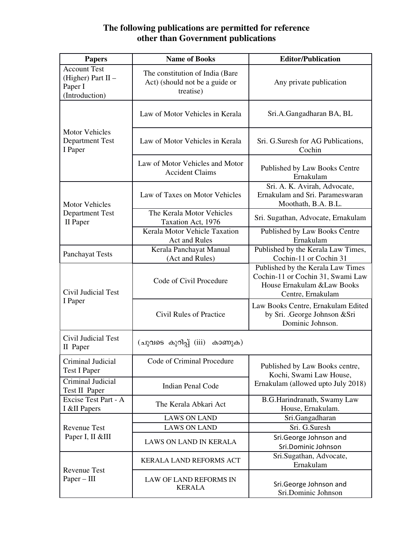## **The following publications are permitted for reference other than Government publications**

| <b>Papers</b>                                                            | <b>Name of Books</b>                                                           | <b>Editor/Publication</b>                                                                                                  |  |
|--------------------------------------------------------------------------|--------------------------------------------------------------------------------|----------------------------------------------------------------------------------------------------------------------------|--|
| <b>Account Test</b><br>(Higher) Part $II -$<br>Paper I<br>(Introduction) | The constitution of India (Bare<br>Act) (should not be a guide or<br>treatise) | Any private publication                                                                                                    |  |
| <b>Motor Vehicles</b><br><b>Department Test</b><br>I Paper               | Law of Motor Vehicles in Kerala                                                | Sri.A.Gangadharan BA, BL                                                                                                   |  |
|                                                                          | Law of Motor Vehicles in Kerala                                                | Sri. G.Suresh for AG Publications,<br>Cochin                                                                               |  |
|                                                                          | Law of Motor Vehicles and Motor<br><b>Accident Claims</b>                      | Published by Law Books Centre<br>Ernakulam                                                                                 |  |
| <b>Motor Vehicles</b><br><b>Department Test</b><br>II Paper              | Law of Taxes on Motor Vehicles                                                 | Sri. A. K. Avirah, Advocate,<br>Ernakulam and Sri. Parameswaran<br>Moothath, B.A. B.L.                                     |  |
|                                                                          | The Kerala Motor Vehicles<br>Taxation Act, 1976                                | Sri. Sugathan, Advocate, Ernakulam                                                                                         |  |
|                                                                          | Kerala Motor Vehicle Taxation<br><b>Act and Rules</b>                          | Published by Law Books Centre<br>Ernakulam                                                                                 |  |
| Panchayat Tests                                                          | Kerala Panchayat Manual<br>(Act and Rules)                                     | Published by the Kerala Law Times,<br>Cochin-11 or Cochin 31                                                               |  |
| Civil Judicial Test<br>I Paper                                           | Code of Civil Procedure                                                        | Published by the Kerala Law Times<br>Cochin-11 or Cochin 31, Swami Law<br>House Ernakulam & Law Books<br>Centre, Ernakulam |  |
|                                                                          | <b>Civil Rules of Practice</b>                                                 | Law Books Centre, Ernakulam Edited<br>by Sri. .George Johnson & Sri<br>Dominic Johnson.                                    |  |
| Civil Judicial Test<br>II Paper                                          | (ചുവടെ കുറിപ്പ് (iii)<br>കാണുക)                                                |                                                                                                                            |  |
| Criminal Judicial<br><b>Test I Paper</b>                                 | Code of Criminal Procedure                                                     | Published by Law Books centre,<br>Kochi, Swami Law House,<br>Ernakulam (allowed upto July 2018)                            |  |
| Criminal Judicial<br><b>Test II Paper</b>                                | <b>Indian Penal Code</b>                                                       |                                                                                                                            |  |
| Excise Test Part - A<br>I &II Papers                                     | The Kerala Abkari Act                                                          | B.G.Harindranath, Swamy Law<br>House, Ernakulam.                                                                           |  |
| <b>Revenue Test</b><br>Paper I, II &III                                  | <b>LAWS ON LAND</b>                                                            | Sri.Gangadharan                                                                                                            |  |
|                                                                          | <b>LAWS ON LAND</b>                                                            | Sri. G.Suresh                                                                                                              |  |
|                                                                          | LAWS ON LAND IN KERALA                                                         | Sri.George Johnson and<br>Sri.Dominic Johnson                                                                              |  |
| <b>Revenue Test</b><br>$Paper - III$                                     | KERALA LAND REFORMS ACT                                                        | Sri.Sugathan, Advocate,<br>Ernakulam                                                                                       |  |
|                                                                          | LAW OF LAND REFORMS IN<br><b>KERALA</b>                                        | Sri.George Johnson and<br>Sri.Dominic Johnson                                                                              |  |